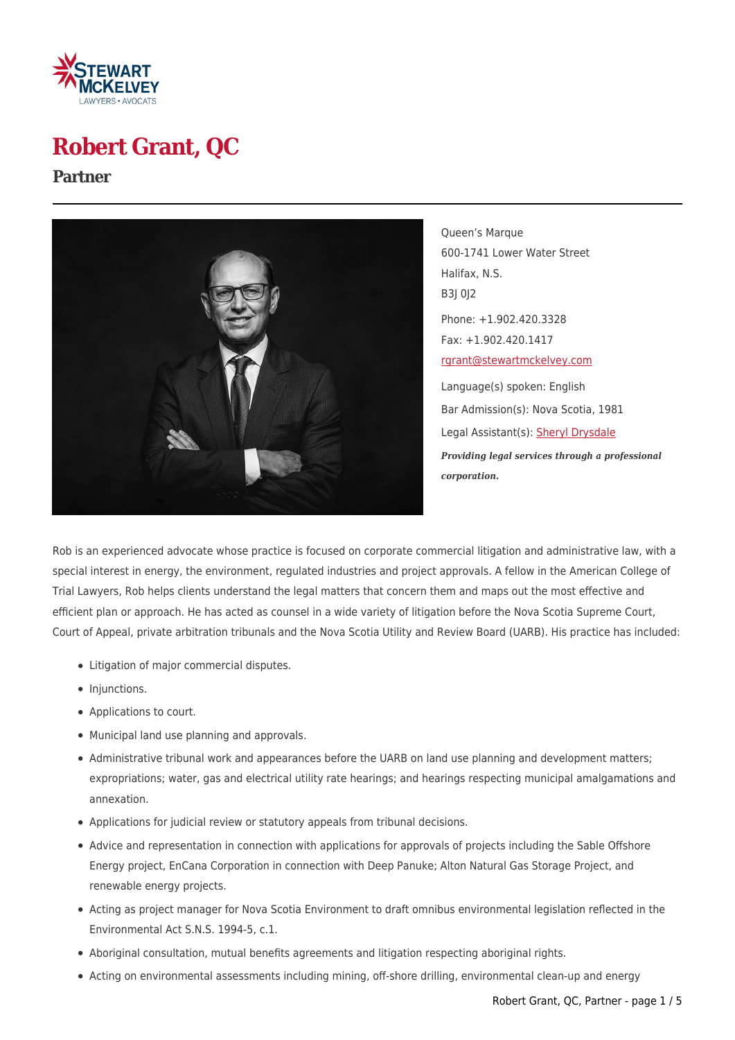

# **Robert Grant, QC**

#### **Partner**



Queen's Marque 600-1741 Lower Water Street Halifax, N.S. B3J 0J2 Phone: +1.902.420.3328 Fax: +1.902.420.1417 [rgrant@stewartmckelvey.com](mailto:rgrant@stewartmckelvey.com) Language(s) spoken: English Bar Admission(s): Nova Scotia, 1981 Legal Assistant(s): [Sheryl Drysdale](https://www.stewartmckelvey.com/legal_assistant/drysdale-sheryl) *Providing legal services through a professional corporation.*

Rob is an experienced advocate whose practice is focused on corporate commercial litigation and administrative law, with a special interest in energy, the environment, regulated industries and project approvals. A fellow in the American College of Trial Lawyers, Rob helps clients understand the legal matters that concern them and maps out the most effective and efficient plan or approach. He has acted as counsel in a wide variety of litigation before the Nova Scotia Supreme Court, Court of Appeal, private arbitration tribunals and the Nova Scotia Utility and Review Board (UARB). His practice has included:

- Litigation of major commercial disputes.
- Injunctions.
- Applications to court.
- Municipal land use planning and approvals.
- Administrative tribunal work and appearances before the UARB on land use planning and development matters; expropriations; water, gas and electrical utility rate hearings; and hearings respecting municipal amalgamations and annexation.
- Applications for judicial review or statutory appeals from tribunal decisions.
- Advice and representation in connection with applications for approvals of projects including the Sable Offshore Energy project, EnCana Corporation in connection with Deep Panuke; Alton Natural Gas Storage Project, and renewable energy projects.
- Acting as project manager for Nova Scotia Environment to draft omnibus environmental legislation reflected in the Environmental Act S.N.S. 1994-5, c.1.
- Aboriginal consultation, mutual benefits agreements and litigation respecting aboriginal rights.
- Acting on environmental assessments including mining, off-shore drilling, environmental clean-up and energy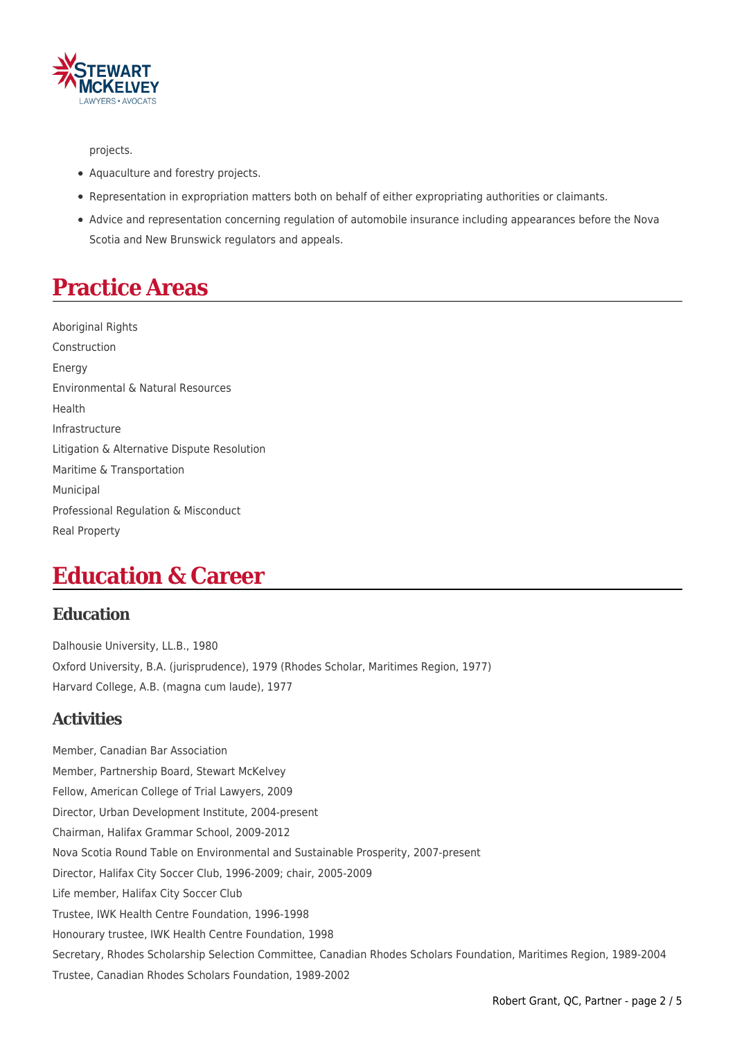

projects.

- Aquaculture and forestry projects.
- Representation in expropriation matters both on behalf of either expropriating authorities or claimants.
- Advice and representation concerning regulation of automobile insurance including appearances before the Nova Scotia and New Brunswick regulators and appeals.

## **Practice Areas**

Aboriginal Rights Construction Energy Environmental & Natural Resources Health Infrastructure Litigation & Alternative Dispute Resolution Maritime & Transportation Municipal Professional Regulation & Misconduct Real Property

## **Education & Career**

#### **Education**

Dalhousie University, LL.B., 1980 Oxford University, B.A. (jurisprudence), 1979 (Rhodes Scholar, Maritimes Region, 1977) Harvard College, A.B. (magna cum laude), 1977

### **Activities**

Member, Canadian Bar Association Member, Partnership Board, Stewart McKelvey Fellow, American College of Trial Lawyers, 2009 Director, Urban Development Institute, 2004-present Chairman, Halifax Grammar School, 2009-2012 Nova Scotia Round Table on Environmental and Sustainable Prosperity, 2007-present Director, Halifax City Soccer Club, 1996-2009; chair, 2005-2009 Life member, Halifax City Soccer Club Trustee, IWK Health Centre Foundation, 1996-1998 Honourary trustee, IWK Health Centre Foundation, 1998 Secretary, Rhodes Scholarship Selection Committee, Canadian Rhodes Scholars Foundation, Maritimes Region, 1989-2004 Trustee, Canadian Rhodes Scholars Foundation, 1989-2002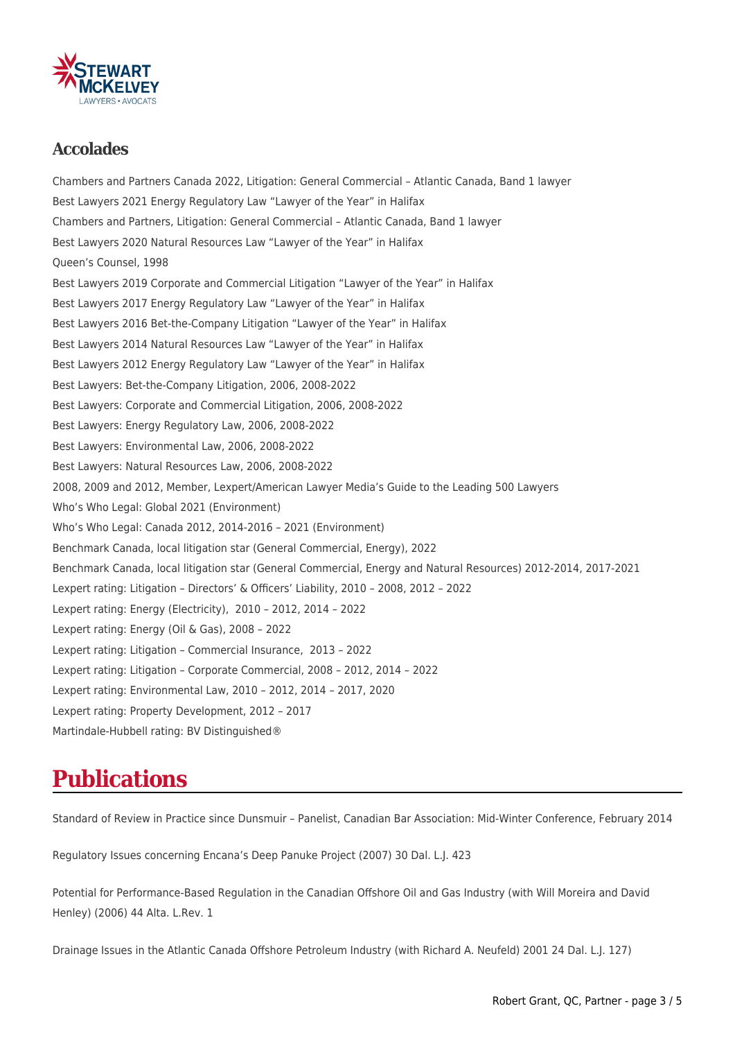

#### **Accolades**

Chambers and Partners Canada 2022, Litigation: General Commercial – Atlantic Canada, Band 1 lawyer Best Lawyers 2021 Energy Regulatory Law "Lawyer of the Year" in Halifax Chambers and Partners, Litigation: General Commercial – Atlantic Canada, Band 1 lawyer Best Lawyers 2020 Natural Resources Law "Lawyer of the Year" in Halifax Queen's Counsel, 1998 Best Lawyers 2019 Corporate and Commercial Litigation "Lawyer of the Year" in Halifax Best Lawyers 2017 Energy Regulatory Law "Lawyer of the Year" in Halifax Best Lawyers 2016 Bet-the-Company Litigation "Lawyer of the Year" in Halifax Best Lawyers 2014 Natural Resources Law "Lawyer of the Year" in Halifax Best Lawyers 2012 Energy Regulatory Law "Lawyer of the Year" in Halifax Best Lawyers: Bet-the-Company Litigation, 2006, 2008-2022 Best Lawyers: Corporate and Commercial Litigation, 2006, 2008-2022 Best Lawyers: Energy Regulatory Law, 2006, 2008-2022 Best Lawyers: Environmental Law, 2006, 2008-2022 Best Lawyers: Natural Resources Law, 2006, 2008-2022 2008, 2009 and 2012, Member, Lexpert/American Lawyer Media's Guide to the Leading 500 Lawyers Who's Who Legal: Global 2021 (Environment) Who's Who Legal: Canada 2012, 2014-2016 – 2021 (Environment) Benchmark Canada, local litigation star (General Commercial, Energy), 2022 Benchmark Canada, local litigation star (General Commercial, Energy and Natural Resources) 2012-2014, 2017-2021 Lexpert rating: Litigation – Directors' & Officers' Liability, 2010 – 2008, 2012 – 2022 Lexpert rating: Energy (Electricity), 2010 – 2012, 2014 – 2022 Lexpert rating: Energy (Oil & Gas), 2008 – 2022 Lexpert rating: Litigation – Commercial Insurance, 2013 – 2022 Lexpert rating: Litigation – Corporate Commercial, 2008 – 2012, 2014 – 2022 Lexpert rating: Environmental Law, 2010 – 2012, 2014 – 2017, 2020 Lexpert rating: Property Development, 2012 – 2017 Martindale-Hubbell rating: BV Distinguished®

## **Publications**

Standard of Review in Practice since Dunsmuir – Panelist, Canadian Bar Association: Mid-Winter Conference, February 2014

Regulatory Issues concerning Encana's Deep Panuke Project (2007) 30 Dal. L.J. 423

Potential for Performance-Based Regulation in the Canadian Offshore Oil and Gas Industry (with Will Moreira and David Henley) (2006) 44 Alta. L.Rev. 1

Drainage Issues in the Atlantic Canada Offshore Petroleum Industry (with Richard A. Neufeld) 2001 24 Dal. L.J. 127)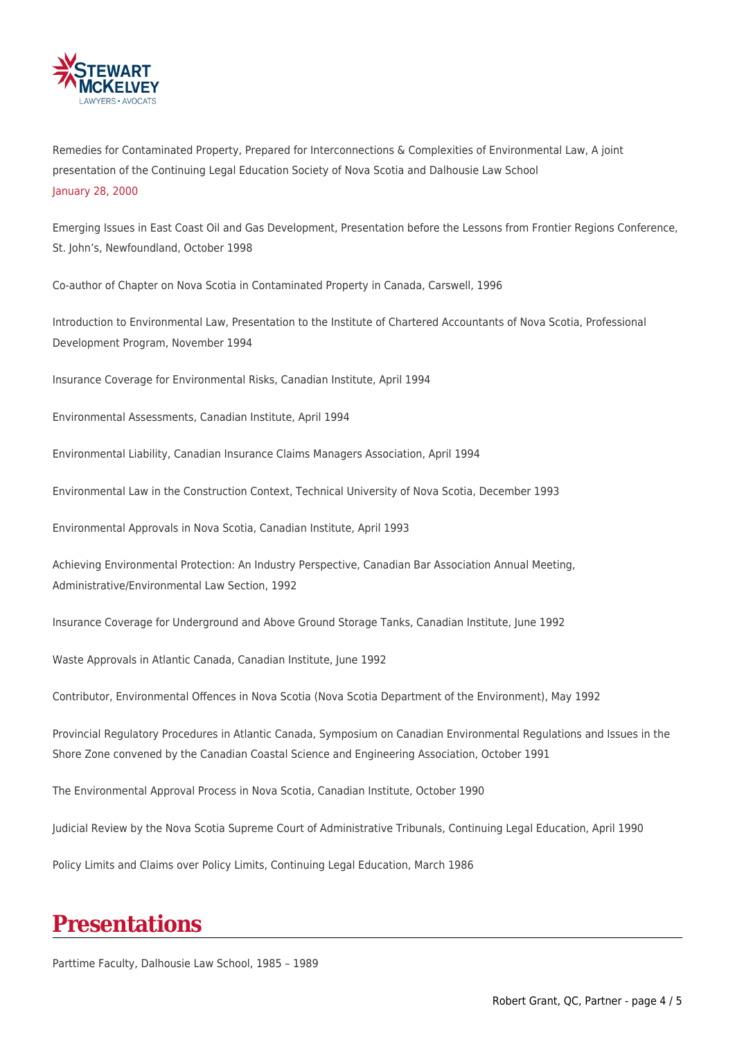

Remedies for Contaminated Property, Prepared for Interconnections & Complexities of Environmental Law, A joint presentation of the Continuing Legal Education Society of Nova Scotia and Dalhousie Law School January 28, 2000

Emerging Issues in East Coast Oil and Gas Development, Presentation before the Lessons from Frontier Regions Conference, St. John's, Newfoundland, October 1998

Co-author of Chapter on Nova Scotia in Contaminated Property in Canada, Carswell, 1996

Introduction to Environmental Law, Presentation to the Institute of Chartered Accountants of Nova Scotia, Professional Development Program, November 1994

Insurance Coverage for Environmental Risks, Canadian Institute, April 1994

Environmental Assessments, Canadian Institute, April 1994

Environmental Liability, Canadian Insurance Claims Managers Association, April 1994

Environmental Law in the Construction Context, Technical University of Nova Scotia, December 1993

Environmental Approvals in Nova Scotia, Canadian Institute, April 1993

Achieving Environmental Protection: An Industry Perspective, Canadian Bar Association Annual Meeting, Administrative/Environmental Law Section, 1992

Insurance Coverage for Underground and Above Ground Storage Tanks, Canadian Institute, June 1992

Waste Approvals in Atlantic Canada, Canadian Institute, June 1992

Contributor, Environmental Offences in Nova Scotia (Nova Scotia Department of the Environment), May 1992

Provincial Regulatory Procedures in Atlantic Canada, Symposium on Canadian Environmental Regulations and Issues in the Shore Zone convened by the Canadian Coastal Science and Engineering Association, October 1991

The Environmental Approval Process in Nova Scotia, Canadian Institute, October 1990

Judicial Review by the Nova Scotia Supreme Court of Administrative Tribunals, Continuing Legal Education, April 1990

Policy Limits and Claims over Policy Limits, Continuing Legal Education, March 1986

## **Presentations**

Parttime Faculty, Dalhousie Law School, 1985 – 1989